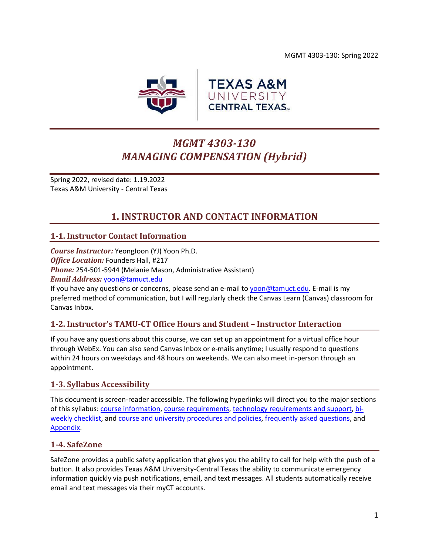MGMT 4303-130: Spring 2022



# *MGMT 4303-130 MANAGING COMPENSATION (Hybrid)*

Spring 2022, revised date: 1.19.2022 Texas A&M University - Central Texas

## **1. INSTRUCTOR AND CONTACT INFORMATION**

## <span id="page-0-0"></span>**1-1. Instructor Contact Information**

*Course Instructor:* YeongJoon (YJ) Yoon Ph.D. *Office Location:* Founders Hall, #217 *Phone:* 254-501-5944 (Melanie Mason, Administrative Assistant) *Email Address:* [yoon@tamuct.edu](mailto:yoon@tamuct.edu)

If you have any questions or concerns, please send an e-mail to [yoon@tamuct.edu.](mailto:yoon@tamuct.edu) E-mail is my preferred method of communication, but I will regularly check the Canvas Learn (Canvas) classroom for Canvas Inbox.

## **1-2. Instructor's TAMU-CT Office Hours and Student – Instructor Interaction**

If you have any questions about this course, we can set up an appointment for a virtual office hour through WebEx. You can also send Canvas Inbox or e-mails anytime; I usually respond to questions within 24 hours on weekdays and 48 hours on weekends. We can also meet in-person through an appointment.

## **1-3. Syllabus Accessibility**

This document is screen-reader accessible. The following hyperlinks will direct you to the major sections of this syllabus: course [information,](#page-1-0) [course requirements,](#page-2-0) [technology requirements and support,](#page-6-0) [bi](#page-7-0)[weekly checklist,](#page-7-0) and [course and university procedures and policies,](#page-16-0) [frequently asked questions,](#page-18-0) and [Appendix.](#page-21-0)

## **1-4. SafeZone**

SafeZone provides a public safety application that gives you the ability to call for help with the push of a button. It also provides Texas A&M University-Central Texas the ability to communicate emergency information quickly via push notifications, email, and text messages. All students automatically receive email and text messages via their myCT accounts.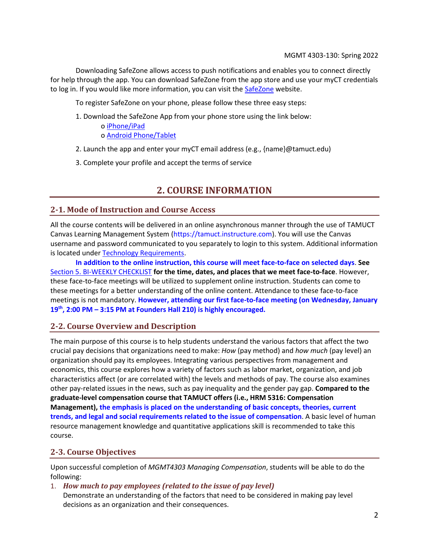Downloading SafeZone allows access to push notifications and enables you to connect directly for help through the app. You can download SafeZone from the app store and use your myCT credentials to log in. If you would like more information, you can visit the [SafeZone](http://www.safezoneapp.com/) website.

To register SafeZone on your phone, please follow these three easy steps:

- 1. Download the SafeZone App from your phone store using the link below:
	- o [iPhone/iPad](https://apps.apple.com/app/safezone/id533054756) o [Android Phone/Tablet](https://play.google.com/store/apps/details?id=com.criticalarc.safezoneapp)
- 2. Launch the app and enter your myCT email address (e.g., {name}@tamuct.edu)
- <span id="page-1-0"></span>3. Complete your profile and accept the terms of service

## **2. COURSE INFORMATION**

## **2-1. Mode of Instruction and Course Access**

All the course contents will be delivered in an online asynchronous manner through the use of TAMUCT Canvas Learning Management System (https://tamuct.instructure.com). You will use the Canvas username and password communicated to you separately to login to this system. Additional information is located under [Technology Requirements.](#page-6-1)

**In addition to the online instruction, this course will meet face-to-face on selected days**. **See** [Section 5. BI-WEEKLY CHECKLIST](#page-7-0) **for the time, dates, and places that we meet face-to-face**. However, these face-to-face meetings will be utilized to supplement online instruction. Students can come to these meetings for a better understanding of the online content. Attendance to these face-to-face meetings is not mandatory. **However, attending our first face-to-face meeting (on Wednesday, January 19th, 2:00 PM – 3:15 PM at Founders Hall 210) is highly encouraged.**

## **2-2. Course Overview and Description**

The main purpose of this course is to help students understand the various factors that affect the two crucial pay decisions that organizations need to make: *How* (pay method) and *how much* (pay level) an organization should pay its employees. Integrating various perspectives from management and economics, this course explores how a variety of factors such as labor market, organization, and job characteristics affect (or are correlated with) the levels and methods of pay. The course also examines other pay-related issues in the news, such as pay inequality and the gender pay gap. **Compared to the graduate-level compensation course that TAMUCT offers (i.e., HRM 5316: Compensation Management), the emphasis is placed on the understanding of basic concepts, theories, current trends, and legal and social requirements related to the issue of compensation**. A basic level of human resource management knowledge and quantitative applications skill is recommended to take this course.

## **2-3. Course Objectives**

Upon successful completion of *MGMT4303 Managing Compensation*, students will be able to do the following:

1. *How much to pay employees (related to the issue of pay level)* Demonstrate an understanding of the factors that need to be considered in making pay level decisions as an organization and their consequences.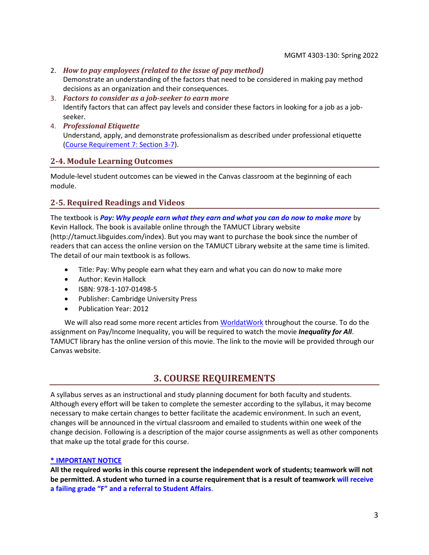- 2. *How to pay employees (related to the issue of pay method)* Demonstrate an understanding of the factors that need to be considered in making pay method decisions as an organization and their consequences.
- 3. *Factors to consider as a job-seeker to earn more* Identify factors that can affect pay levels and consider these factors in looking for a job as a jobseeker.
- 4. *Professional Etiquette* Understand, apply, and demonstrate professionalism as described under professional etiquette [\(Course Requirement 7: Section 3-7\)](#page-4-0).

## **2-4. Module Learning Outcomes**

Module-level student outcomes can be viewed in the Canvas classroom at the beginning of each module.

## **2-5. Required Readings and Videos**

The textbook is *Pay: Why people earn what they earn and what you can do now to make more* by Kevin Hallock. The book is available online through the TAMUCT Library website (http://tamuct.libguides.com/index). But you may want to purchase the book since the number of readers that can access the online version on the TAMUCT Library website at the same time is limited. The detail of our main textbook is as follows.

- Title: Pay: Why people earn what they earn and what you can do now to make more
- Author: Kevin Hallock
- ISBN: 978-1-107-01498-5
- Publisher: Cambridge University Press
- Publication Year: 2012

We will also read some more recent articles fro[m WorldatWork](https://worldatwork.org/) throughout the course. To do the assignment on Pay/Income Inequality, you will be required to watch the movie *Inequality for All*. TAMUCT library has the online version of this movie. The link to the movie will be provided through our Canvas website.

## **3. COURSE REQUIREMENTS**

<span id="page-2-0"></span>A syllabus serves as an instructional and study planning document for both faculty and students. Although every effort will be taken to complete the semester according to the syllabus, it may become necessary to make certain changes to better facilitate the academic environment. In such an event, changes will be announced in the virtual classroom and emailed to students within one week of the change decision. Following is a description of the major course assignments as well as other components that make up the total grade for this course.

#### **\* IMPORTANT NOTICE**

**All the required works in this course represent the independent work of students; teamwork will not be permitted. A student who turned in a course requirement that is a result of teamwork will receive a failing grade "F" and a referral to Student Affairs**.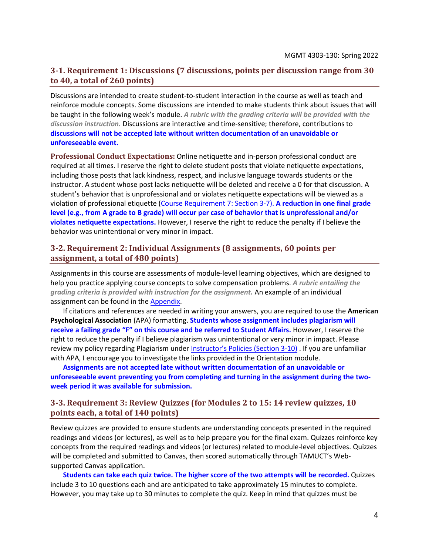### **3-1. Requirement 1: Discussions (7 discussions, points per discussion range from 30 to 40, a total of 260 points)**

Discussions are intended to create student-to-student interaction in the course as well as teach and reinforce module concepts. Some discussions are intended to make students think about issues that will be taught in the following week's module. *A rubric with the grading criteria will be provided with the discussion instruction.* Discussions are interactive and time-sensitive; therefore, contributions to **discussions will not be accepted late without written documentation of an unavoidable or unforeseeable event.**

**Professional Conduct Expectations:** Online netiquette and in-person professional conduct are required at all times. I reserve the right to delete student posts that violate netiquette expectations, including those posts that lack kindness, respect, and inclusive language towards students or the instructor. A student whose post lacks netiquette will be deleted and receive a 0 for that discussion. A student's behavior that is unprofessional and or violates netiquette expectations will be viewed as a violation of professional etiquette [\(Course Requirement 7: Section 3-7\)](#page-4-0). **A reduction in one final grade level (e.g., from A grade to B grade) will occur per case of behavior that is unprofessional and/or violates netiquette expectations.** However, I reserve the right to reduce the penalty if I believe the behavior was unintentional or very minor in impact.

### **3-2. Requirement 2: Individual Assignments (8 assignments, 60 points per assignment, a total of 480 points)**

Assignments in this course are assessments of module-level learning objectives, which are designed to help you practice applying course concepts to solve compensation problems. *A rubric entailing the grading criteria is provided with instruction for the assignment.* An example of an individual assignment can be found in the [Appendix.](#page-21-0)

If citations and references are needed in writing your answers, you are required to use the **American Psychological Association** (APA) formatting. **Students whose assignment includes plagiarism will receive a failing grade "F" on this course and be referred to Student Affairs.** However, I reserve the right to reduce the penalty if I believe plagiarism was unintentional or very minor in impact. Please review my policy regarding Plagiarism under **Instructor's Policies [\(Section 3-10\)](#page-5-0)**. If you are unfamiliar with APA, I encourage you to investigate the links provided in the Orientation module.

**Assignments are not accepted late without written documentation of an unavoidable or unforeseeable event preventing you from completing and turning in the assignment during the twoweek period it was available for submission.**

## **3-3. Requirement 3: Review Quizzes (for Modules 2 to 15: 14 review quizzes, 10 points each, a total of 140 points)**

Review quizzes are provided to ensure students are understanding concepts presented in the required readings and videos (or lectures), as well as to help prepare you for the final exam. Quizzes reinforce key concepts from the required readings and videos (or lectures) related to module-level objectives. Quizzes will be completed and submitted to Canvas, then scored automatically through TAMUCT's Websupported Canvas application.

**Students can take each quiz twice. The higher score of the two attempts will be recorded.** Quizzes include 3 to 10 questions each and are anticipated to take approximately 15 minutes to complete. However, you may take up to 30 minutes to complete the quiz. Keep in mind that quizzes must be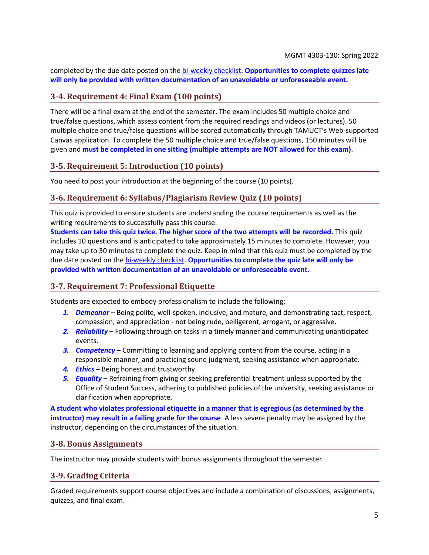completed by the due date posted on the [bi-weekly checklist.](#page-7-0) **Opportunities to complete quizzes late will only be provided with written documentation of an unavoidable or unforeseeable event.**

## **3-4. Requirement 4: Final Exam (100 points)**

There will be a final exam at the end of the semester. The exam includes 50 multiple choice and true/false questions, which assess content from the required readings and videos (or lectures). 50 multiple choice and true/false questions will be scored automatically through TAMUCT's Web-supported Canvas application. To complete the 50 multiple choice and true/false questions, 150 minutes will be given and **must be completed in one sitting (multiple attempts are NOT allowed for this exam)**.

## **3-5. Requirement 5: Introduction (10 points)**

You need to post your introduction at the beginning of the course (10 points).

## **3-6. Requirement 6: Syllabus/Plagiarism Review Quiz (10 points)**

This quiz is provided to ensure students are understanding the course requirements as well as the writing requirements to successfully pass this course.

**Students can take this quiz twice. The higher score of the two attempts will be recorded.** This quiz includes 10 questions and is anticipated to take approximately 15 minutes to complete. However, you may take up to 30 minutes to complete the quiz. Keep in mind that this quiz must be completed by the due date posted on the [bi-weekly checklist.](#page-7-0) **Opportunities to complete the quiz late will only be provided with written documentation of an unavoidable or unforeseeable event.**

## <span id="page-4-0"></span>**3-7. Requirement 7: Professional Etiquette**

Students are expected to embody professionalism to include the following:

- *1. Demeanor* Being polite, well-spoken, inclusive, and mature, and demonstrating tact, respect, compassion, and appreciation - not being rude, belligerent, arrogant, or aggressive.
- *2. Reliability* Following through on tasks in a timely manner and communicating unanticipated events.
- *3. Competency* Committing to learning and applying content from the course, acting in a responsible manner, and practicing sound judgment, seeking assistance when appropriate.
- *4. Ethics* Being honest and trustworthy.
- *5. Equality* Refraining from giving or seeking preferential treatment unless supported by the Office of Student Success, adhering to published policies of the university, seeking assistance or clarification when appropriate.

**A student who violates professional etiquette in a manner that is egregious (as determined by the instructor) may result in a failing grade for the course**. A less severe penalty may be assigned by the instructor, depending on the circumstances of the situation.

#### **3-8. Bonus Assignments**

<span id="page-4-1"></span>The instructor may provide students with bonus assignments throughout the semester.

## **3-9. Grading Criteria**

Graded requirements support course objectives and include a combination of discussions, assignments, quizzes, and final exam.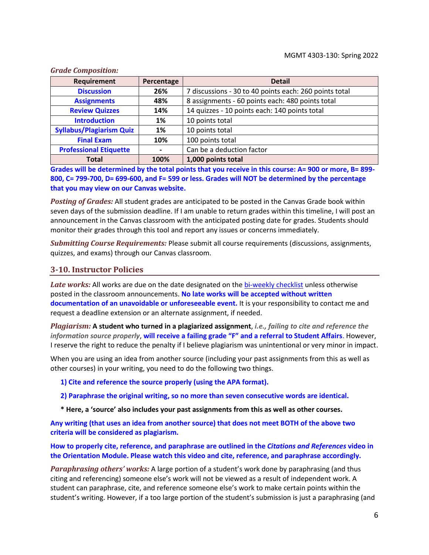| Requirement                     | Percentage | <b>Detail</b>                                          |
|---------------------------------|------------|--------------------------------------------------------|
| <b>Discussion</b>               | 26%        | 7 discussions - 30 to 40 points each: 260 points total |
| <b>Assignments</b>              | 48%        | 8 assignments - 60 points each: 480 points total       |
| <b>Review Quizzes</b>           | 14%        | 14 quizzes - 10 points each: 140 points total          |
| <b>Introduction</b>             | 1%         | 10 points total                                        |
| <b>Syllabus/Plagiarism Quiz</b> | 1%         | 10 points total                                        |
| <b>Final Exam</b>               | 10%        | 100 points total                                       |
| <b>Professional Etiquette</b>   |            | Can be a deduction factor                              |
| <b>Total</b>                    | 100%       | 1,000 points total                                     |

*Grade Composition:*

**Grades will be determined by the total points that you receive in this course: A= 900 or more, B= 899- 800, C= 799-700, D= 699-600, and F= 599 or less. Grades will NOT be determined by the percentage that you may view on our Canvas website.**

*Posting of Grades:* All student grades are anticipated to be posted in the Canvas Grade book within seven days of the submission deadline. If I am unable to return grades within this timeline, I will post an announcement in the Canvas classroom with the anticipated posting date for grades. Students should monitor their grades through this tool and report any issues or concerns immediately.

*Submitting Course Requirements:* Please submit all course requirements (discussions, assignments, quizzes, and exams) through our Canvas classroom.

#### <span id="page-5-0"></span>**3-10. Instructor Policies**

Late works: All works are due on the date designated on the [bi-weekly checklist](#page-7-0) unless otherwise posted in the classroom announcements. **No late works will be accepted without written documentation of an unavoidable or unforeseeable event.** It is your responsibility to contact me and request a deadline extension or an alternate assignment, if needed.

*Plagiarism:* **A student who turned in a plagiarized assignment**, *i.e., failing to cite and reference the information source properly*, **will receive a failing grade "F" and a referral to Student Affairs**. However, I reserve the right to reduce the penalty if I believe plagiarism was unintentional or very minor in impact.

When you are using an idea from another source (including your past assignments from this as well as other courses) in your writing, you need to do the following two things.

**1) Cite and reference the source properly (using the APA format).**

**2) Paraphrase the original writing, so no more than seven consecutive words are identical.**

**\* Here, a 'source' also includes your past assignments from this as well as other courses.**

**Any writing (that uses an idea from another source) that does not meet BOTH of the above two criteria will be considered as plagiarism.**

**How to properly cite, reference, and paraphrase are outlined in the** *Citations and References* **video in the Orientation Module. Please watch this video and cite, reference, and paraphrase accordingly.** 

*Paraphrasing others' works:* A large portion of a student's work done by paraphrasing (and thus citing and referencing) someone else's work will not be viewed as a result of independent work. A student can paraphrase, cite, and reference someone else's work to make certain points within the student's writing. However, if a too large portion of the student's submission is just a paraphrasing (and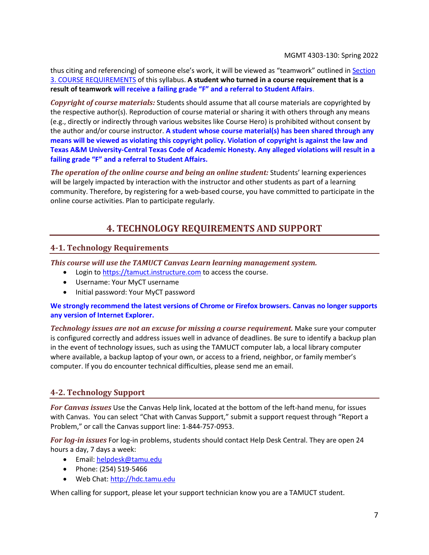thus citing and referencing) of someone else's work, it will be viewed as "teamwork" outlined in [Section](#page-2-0)  [3. COURSE REQUIREMENTS](#page-2-0) of this syllabus. **A student who turned in a course requirement that is a result of teamwork will receive a failing grade "F" and a referral to Student Affairs**.

*Copyright of course materials:* Students should assume that all course materials are copyrighted by the respective author(s). Reproduction of course material or sharing it with others through any means (e.g., directly or indirectly through various websites like Course Hero) is prohibited without consent by the author and/or course instructor. **A student whose course material(s) has been shared through any means will be viewed as violating this copyright policy. Violation of copyright is against the law and Texas A&M University-Central Texas Code of Academic Honesty. Any alleged violations will result in a failing grade "F" and a referral to Student Affairs.**

<span id="page-6-0"></span>*The operation of the online course and being an online student:* Students' learning experiences will be largely impacted by interaction with the instructor and other students as part of a learning community. Therefore, by registering for a web-based course, you have committed to participate in the online course activities. Plan to participate regularly.

## **4. TECHNOLOGY REQUIREMENTS AND SUPPORT**

## <span id="page-6-1"></span>**4-1. Technology Requirements**

*This course will use the TAMUCT Canvas Learn learning management system.*

- Login to [https://tamuct.instructure.com](https://tamuct.instructure.com/) to access the course.
- Username: Your MyCT username
- Initial password: Your MyCT password

## **We strongly recommend the latest versions of Chrome or Firefox browsers. Canvas no longer supports any version of Internet Explorer.**

*Technology issues are not an excuse for missing a course requirement.* Make sure your computer is configured correctly and address issues well in advance of deadlines. Be sure to identify a backup plan in the event of technology issues, such as using the TAMUCT computer lab, a local library computer where available, a backup laptop of your own, or access to a friend, neighbor, or family member's computer. If you do encounter technical difficulties, please send me an email.

## **4-2. Technology Support**

*For Canvas issues* Use the Canvas Help link, located at the bottom of the left-hand menu, for issues with Canvas. You can select "Chat with Canvas Support," submit a support request through "Report a Problem," or call the Canvas support line: 1-844-757-0953.

*For log-in issues* For log-in problems, students should contact Help Desk Central. They are open 24 hours a day, 7 days a week:

- Email: [helpdesk@tamu.edu](mailto:helpdesk@tamu.edu)
- Phone: (254) 519-5466
- Web Chat[: http://hdc.tamu.edu](http://hdc.tamu.edu/)

When calling for support, please let your support technician know you are a TAMUCT student.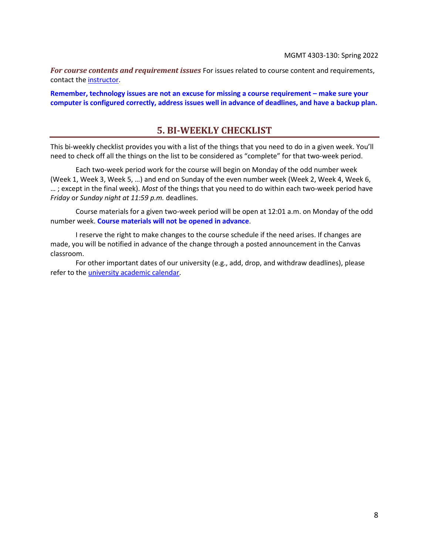*For course contents and requirement issues* For issues related to course content and requirements, contact th[e instructor.](#page-0-0)

<span id="page-7-0"></span>**Remember, technology issues are not an excuse for missing a course requirement – make sure your computer is configured correctly, address issues well in advance of deadlines, and have a backup plan.**

## **5. BI-WEEKLY CHECKLIST**

This bi-weekly checklist provides you with a list of the things that you need to do in a given week. You'll need to check off all the things on the list to be considered as "complete" for that two-week period.

Each two-week period work for the course will begin on Monday of the odd number week (Week 1, Week 3, Week 5, …) and end on Sunday of the even number week (Week 2, Week 4, Week 6, … ; except in the final week). *Most* of the things that you need to do within each two-week period have *Friday* or *Sunday night at 11:59 p.m.* deadlines.

Course materials for a given two-week period will be open at 12:01 a.m. on Monday of the odd number week. **Course materials will not be opened in advance**.

I reserve the right to make changes to the course schedule if the need arises. If changes are made, you will be notified in advance of the change through a posted announcement in the Canvas classroom.

For other important dates of our university (e.g., add, drop, and withdraw deadlines), please refer to the [university academic calendar.](http://catalog.tamuct.edu/undergraduate_catalog/general-information/academic20calendars20and20final20exam20schedule/)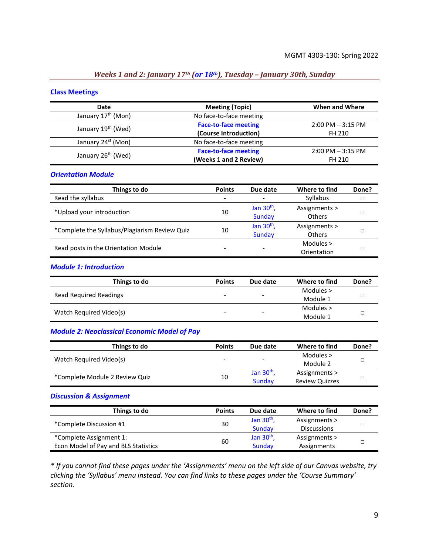## *Weeks 1 and 2: January 17th (or 18th), Tuesday – January 30th, Sunday*

#### **Class Meetings**

| Date                           | <b>Meeting (Topic)</b>      | When and Where       |
|--------------------------------|-----------------------------|----------------------|
| January 17 <sup>th</sup> (Mon) | No face-to-face meeting     |                      |
|                                | <b>Face-to-face meeting</b> | $2:00$ PM $-3:15$ PM |
| January 19 <sup>th</sup> (Wed) | (Course Introduction)       | FH 210               |
| January 24 <sup>st</sup> (Mon) | No face-to-face meeting     |                      |
|                                | <b>Face-to-face meeting</b> | $2:00$ PM $-3:15$ PM |
| January 26 <sup>th</sup> (Wed) | (Weeks 1 and 2 Review)      | FH 210               |

#### *Orientation Module*

| Things to do                                  | <b>Points</b> | Due date                 | Where to find                  | Done? |
|-----------------------------------------------|---------------|--------------------------|--------------------------------|-------|
| Read the syllabus                             |               | $\overline{\phantom{a}}$ | Syllabus                       |       |
| *Upload your introduction                     | 10            | Jan $30th$ ,<br>Sunday   | Assignments ><br><b>Others</b> |       |
| *Complete the Syllabus/Plagiarism Review Quiz | 10            | Jan $30th$ ,<br>Sunday   | Assignments ><br><b>Others</b> |       |
| Read posts in the Orientation Module          |               | -                        | Modules ><br>Orientation       |       |

#### *Module 1: Introduction*

| Things to do                  | <b>Points</b> | Due date                 | Where to find | Done? |
|-------------------------------|---------------|--------------------------|---------------|-------|
| <b>Read Required Readings</b> | -             | $\overline{\phantom{0}}$ | Modules >     |       |
|                               |               |                          | Module 1      |       |
|                               |               |                          | Modules >     |       |
| Watch Required Video(s)       | -             | $\overline{\phantom{0}}$ | Module 1      |       |

#### *Module 2: Neoclassical Economic Model of Pay*

| Things to do                   | <b>Points</b>            | Due date                 | Where to find         | Done? |
|--------------------------------|--------------------------|--------------------------|-----------------------|-------|
|                                |                          |                          | Modules $>$           |       |
| Watch Required Video(s)        | $\overline{\phantom{0}}$ | $\overline{\phantom{0}}$ | Module 2              |       |
|                                |                          | Jan $30th$ ,             | Assignments >         |       |
| *Complete Module 2 Review Quiz | 10                       | Sunday                   | <b>Review Quizzes</b> |       |

#### *Discussion & Assignment*

| Things to do                         | <b>Points</b> | Due date     | Where to find      | Done? |
|--------------------------------------|---------------|--------------|--------------------|-------|
| *Complete Discussion #1              | 30            | Jan $30th$ , | Assignments >      |       |
|                                      |               | Sunday       | <b>Discussions</b> |       |
| *Complete Assignment 1:              | 60            | Jan $30th$ , | Assignments >      |       |
| Econ Model of Pay and BLS Statistics |               | Sunday       | Assignments        |       |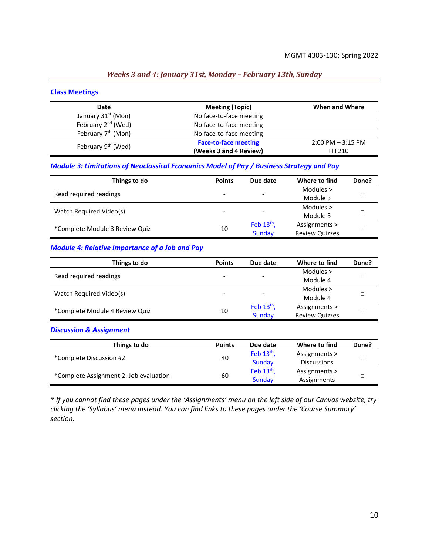#### *Weeks 3 and 4: January 31st, Monday – February 13th, Sunday*

#### **Class Meetings**

| Date                           | <b>Meeting (Topic)</b>      | When and Where       |
|--------------------------------|-----------------------------|----------------------|
| January 31 <sup>st</sup> (Mon) | No face-to-face meeting     |                      |
| February 2 <sup>nd</sup> (Wed) | No face-to-face meeting     |                      |
| February 7 <sup>th</sup> (Mon) | No face-to-face meeting     |                      |
| February 9 <sup>th</sup> (Wed) | <b>Face-to-face meeting</b> | $2:00$ PM $-3:15$ PM |
|                                | (Weeks 3 and 4 Review)      | FH 210               |

#### *Module 3: Limitations of Neoclassical Economics Model of Pay / Business Strategy and Pay*

| Things to do                   | <b>Points</b>            | Due date                 | Where to find         | Done? |
|--------------------------------|--------------------------|--------------------------|-----------------------|-------|
| Read required readings         | -                        | $\overline{\phantom{0}}$ | Modules $>$           |       |
|                                |                          |                          | Module 3              |       |
|                                |                          |                          | Modules $>$           |       |
| Watch Required Video(s)        | $\overline{\phantom{a}}$ | $\overline{\phantom{0}}$ | Module 3              |       |
| *Complete Module 3 Review Quiz | 10                       | Feb $13th$ ,             | Assignments >         |       |
|                                |                          | Sunday                   | <b>Review Quizzes</b> |       |

#### *Module 4: Relative Importance of a Job and Pay*

| Things to do                   | <b>Points</b> | Due date                 | Where to find         | Done? |
|--------------------------------|---------------|--------------------------|-----------------------|-------|
| Read required readings         |               |                          | Modules $>$           |       |
|                                |               | $\overline{\phantom{0}}$ | Module 4              |       |
|                                |               |                          | Modules $>$           |       |
| Watch Required Video(s)        | ۰             | $\overline{\phantom{a}}$ | Module 4              |       |
|                                | 10            | Feb $13th$ ,             | Assignments >         |       |
| *Complete Module 4 Review Quiz |               | Sunday                   | <b>Review Quizzes</b> |       |

#### *Discussion & Assignment*

| Things to do                           | <b>Points</b> | Due date     | Where to find      | Done? |
|----------------------------------------|---------------|--------------|--------------------|-------|
| *Complete Discussion #2                | 40            | Feb $13th$ , | Assignments >      |       |
|                                        |               | Sunday       | <b>Discussions</b> |       |
|                                        | 60            | Feb $13th$ , | Assignments >      |       |
| *Complete Assignment 2: Job evaluation |               | Sunday       | Assignments        |       |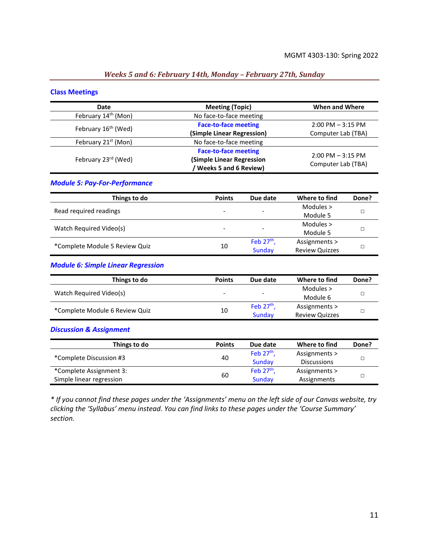## *Weeks 5 and 6: February 14th, Monday – February 27th, Sunday*

#### **Class Meetings**

| <b>Date</b>                     | <b>Meeting (Topic)</b>       | When and Where       |
|---------------------------------|------------------------------|----------------------|
| February 14 <sup>th</sup> (Mon) | No face-to-face meeting      |                      |
| February 16 <sup>th</sup> (Wed) | <b>Face-to-face meeting</b>  | $2:00$ PM $-3:15$ PM |
|                                 | (Simple Linear Regression)   | Computer Lab (TBA)   |
| February 21 <sup>st</sup> (Mon) | No face-to-face meeting      |                      |
|                                 | <b>Face-to-face meeting</b>  | $2:00$ PM $-3:15$ PM |
| February 23rd (Wed)             | (Simple Linear Regression    |                      |
|                                 | <b>Weeks 5 and 6 Review)</b> | Computer Lab (TBA)   |

#### *Module 5: Pay-For-Performance*

| Things to do                   | <b>Points</b> | Due date                 | Where to find         | Done? |
|--------------------------------|---------------|--------------------------|-----------------------|-------|
| Read required readings         | -             | $\overline{\phantom{0}}$ | Modules $>$           |       |
|                                |               |                          | Module 5              |       |
|                                | -             | $\overline{\phantom{a}}$ | Modules >             |       |
| Watch Required Video(s)        |               |                          | Module 5              |       |
|                                |               | Feb $27th$ ,             | Assignments >         |       |
| *Complete Module 5 Review Quiz | 10            | Sunday                   | <b>Review Quizzes</b> |       |

#### *Module 6: Simple Linear Regression*

| Things to do                   | <b>Points</b>            | Due date                 | Where to find         | Done? |
|--------------------------------|--------------------------|--------------------------|-----------------------|-------|
| Watch Required Video(s)        | $\overline{\phantom{0}}$ | $\overline{\phantom{a}}$ | Modules >             |       |
|                                |                          |                          | Module 6              |       |
| *Complete Module 6 Review Quiz |                          | Feb $27th$               | Assignments >         |       |
|                                | 10                       | Sunday                   | <b>Review Quizzes</b> |       |

#### *Discussion & Assignment*

| Things to do             | <b>Points</b> | Due date     | Where to find      | Done? |
|--------------------------|---------------|--------------|--------------------|-------|
| *Complete Discussion #3  | 40            | Feb $27th$ , | Assignments >      |       |
|                          |               | Sunday       | <b>Discussions</b> |       |
| *Complete Assignment 3:  | 60            | Feb $27th$ . | Assignments >      |       |
| Simple linear regression |               | Sunday       | Assignments        |       |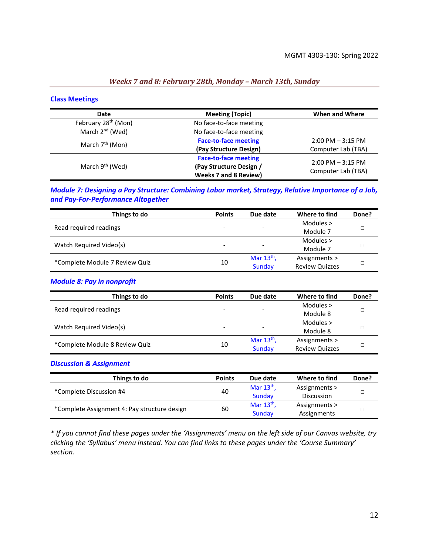#### *Weeks 7 and 8: February 28th, Monday – March 13th, Sunday*

#### **Class Meetings**

| Date                            | <b>Meeting (Topic)</b>       | When and Where       |
|---------------------------------|------------------------------|----------------------|
| February 28 <sup>th</sup> (Mon) | No face-to-face meeting      |                      |
| March 2 <sup>nd</sup> (Wed)     | No face-to-face meeting      |                      |
| March $7th$ (Mon)               | <b>Face-to-face meeting</b>  | $2:00$ PM $-3:15$ PM |
|                                 | (Pay Structure Design)       | Computer Lab (TBA)   |
|                                 | <b>Face-to-face meeting</b>  | $2:00$ PM $-3:15$ PM |
| March 9 <sup>th</sup> (Wed)     | (Pay Structure Design /      | Computer Lab (TBA)   |
|                                 | <b>Weeks 7 and 8 Review)</b> |                      |

#### *Module 7: Designing a Pay Structure: Combining Labor market, Strategy, Relative Importance of a Job, and Pay-For-Performance Altogether*

| Things to do                   | <b>Points</b> | Due date                 | Where to find         | Done? |
|--------------------------------|---------------|--------------------------|-----------------------|-------|
| Read required readings         |               | -                        | Modules $>$           |       |
|                                |               |                          | Module 7              |       |
|                                | -             | $\overline{\phantom{0}}$ | Modules $>$           |       |
| Watch Required Video(s)        |               |                          | Module 7              |       |
| *Complete Module 7 Review Quiz |               | Mar $13th$ ,             | Assignments >         |       |
|                                | 10            | Sunday                   | <b>Review Quizzes</b> |       |

#### *Module 8: Pay in nonprofit*

| Things to do                   | <b>Points</b>            | Due date                 | Where to find         | Done? |
|--------------------------------|--------------------------|--------------------------|-----------------------|-------|
| Read required readings         | -                        | $\overline{\phantom{0}}$ | Modules $>$           |       |
|                                |                          |                          | Module 8              |       |
|                                | $\overline{\phantom{0}}$ | $\overline{\phantom{a}}$ | Modules >             |       |
| Watch Required Video(s)        |                          |                          | Module 8              |       |
| *Complete Module 8 Review Quiz |                          | Mar $13th$ ,             | Assignments >         |       |
|                                | 10                       | Sunday                   | <b>Review Quizzes</b> |       |

#### *Discussion & Assignment*

| Things to do                                 | <b>Points</b> | Due date     | Where to find | Done? |
|----------------------------------------------|---------------|--------------|---------------|-------|
| *Complete Discussion #4                      | 40            | Mar $13th$ , | Assignments > |       |
|                                              |               | Sundav       | Discussion    |       |
| *Complete Assignment 4: Pay structure design |               | Mar $13th$ , | Assignments > |       |
|                                              | 60            | Sunday       | Assignments   |       |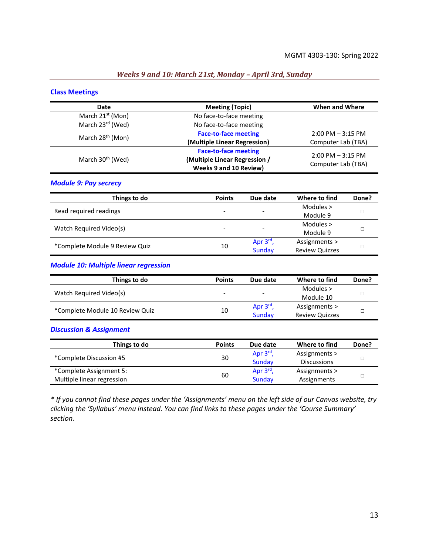#### *Weeks 9 and 10: March 21st, Monday – April 3rd, Sunday*

#### **Class Meetings**

| Date                         | <b>Meeting (Topic)</b>                                                                 | <b>When and Where</b>                      |
|------------------------------|----------------------------------------------------------------------------------------|--------------------------------------------|
| March 21 <sup>st</sup> (Mon) | No face-to-face meeting                                                                |                                            |
| March 23rd (Wed)             | No face-to-face meeting                                                                |                                            |
|                              | <b>Face-to-face meeting</b>                                                            | $2:00$ PM $-3:15$ PM                       |
| March 28 <sup>th</sup> (Mon) | (Multiple Linear Regression)                                                           | Computer Lab (TBA)                         |
| March 30 <sup>th</sup> (Wed) | <b>Face-to-face meeting</b><br>(Multiple Linear Regression /<br>Weeks 9 and 10 Review) | $2:00$ PM $-3:15$ PM<br>Computer Lab (TBA) |

#### *Module 9: Pay secrecy*

| Things to do                   | <b>Points</b> | Due date                 | Where to find         | Done? |
|--------------------------------|---------------|--------------------------|-----------------------|-------|
| Read required readings         | -             | $\overline{\phantom{a}}$ | Modules $>$           |       |
|                                |               |                          | Module 9              |       |
|                                | -             | $\overline{\phantom{a}}$ | Modules $>$           |       |
| Watch Required Video(s)        |               |                          | Module 9              |       |
| *Complete Module 9 Review Quiz | 10            | Apr $3^{\text{rd}}$ ,    | Assignments >         |       |
|                                |               | Sunday                   | <b>Review Quizzes</b> |       |

#### *Module 10: Multiple linear regression*

| Things to do                    | <b>Points</b>            | Due date                 | Where to find         | Done? |
|---------------------------------|--------------------------|--------------------------|-----------------------|-------|
| Watch Required Video(s)         | $\overline{\phantom{0}}$ | $\overline{\phantom{0}}$ | Modules >             |       |
|                                 |                          |                          | Module 10             |       |
|                                 |                          | Apr $3rd$ ,              | Assignments >         |       |
| *Complete Module 10 Review Quiz | 10                       | Sunday                   | <b>Review Quizzes</b> |       |

#### *Discussion & Assignment*

| Things to do               | <b>Points</b> | Due date              | Where to find      | Done? |
|----------------------------|---------------|-----------------------|--------------------|-------|
|                            | 30            | Apr $3^{\text{rd}}$ , | Assignments >      |       |
| *Complete Discussion #5    |               | Sunday                | <b>Discussions</b> |       |
| *Complete Assignment 5:    | 60            | Apr $3^{rd}$ ,        | Assignments >      |       |
| Multiple linear regression |               | Sunday                | Assignments        |       |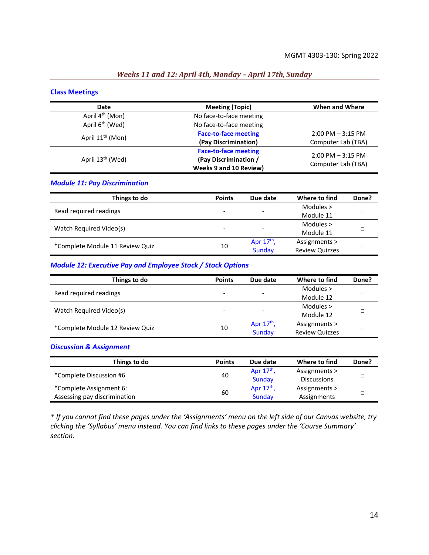#### *Weeks 11 and 12: April 4th, Monday – April 17th, Sunday*

#### **Class Meetings**

| Date                         | <b>Meeting (Topic)</b>        | When and Where       |
|------------------------------|-------------------------------|----------------------|
| April 4 <sup>th</sup> (Mon)  | No face-to-face meeting       |                      |
| April 6 <sup>th</sup> (Wed)  | No face-to-face meeting       |                      |
|                              | <b>Face-to-face meeting</b>   | $2:00$ PM $-3:15$ PM |
| April 11 <sup>th</sup> (Mon) | (Pay Discrimination)          | Computer Lab (TBA)   |
|                              | <b>Face-to-face meeting</b>   | $2:00$ PM $-3:15$ PM |
| April 13 <sup>th</sup> (Wed) | (Pay Discrimination /         |                      |
|                              | <b>Weeks 9 and 10 Review)</b> | Computer Lab (TBA)   |

#### *Module 11: Pay Discrimination*

| Things to do                    | <b>Points</b> | Due date                 | Where to find         | Done? |
|---------------------------------|---------------|--------------------------|-----------------------|-------|
| Read required readings          | -             | $\overline{\phantom{a}}$ | Modules $>$           |       |
|                                 |               |                          | Module 11             |       |
|                                 | -             | $\overline{\phantom{a}}$ | Modules $>$           |       |
| Watch Required Video(s)         |               |                          | Module 11             |       |
| *Complete Module 11 Review Quiz | 10            | Apr $17th$ ,             | Assignments >         |       |
|                                 |               | Sunday                   | <b>Review Quizzes</b> |       |

#### *Module 12: Executive Pay and Employee Stock / Stock Options*

| Things to do                    | <b>Points</b> | Due date                 | Where to find         | Done? |  |
|---------------------------------|---------------|--------------------------|-----------------------|-------|--|
| Read required readings          | -             | $\overline{\phantom{a}}$ | Modules $>$           |       |  |
|                                 |               |                          | Module 12             |       |  |
|                                 |               |                          | Modules $>$           |       |  |
| Watch Required Video(s)         |               | $\overline{\phantom{a}}$ | Module 12             |       |  |
| *Complete Module 12 Review Quiz | 10            | Apr $17th$ ,             | Assignments >         |       |  |
|                                 |               | Sunday                   | <b>Review Quizzes</b> |       |  |

*Discussion & Assignment*

| Things to do                 | <b>Points</b> | Due date     | Where to find      | Done? |  |
|------------------------------|---------------|--------------|--------------------|-------|--|
| *Complete Discussion #6      | 40            | Apr $17th$ , | Assignments >      |       |  |
|                              |               | Sunday       | <b>Discussions</b> |       |  |
| *Complete Assignment 6:      |               | Apr $17th$ , | Assignments >      |       |  |
| Assessing pay discrimination | 60            | Sunday       | Assignments        |       |  |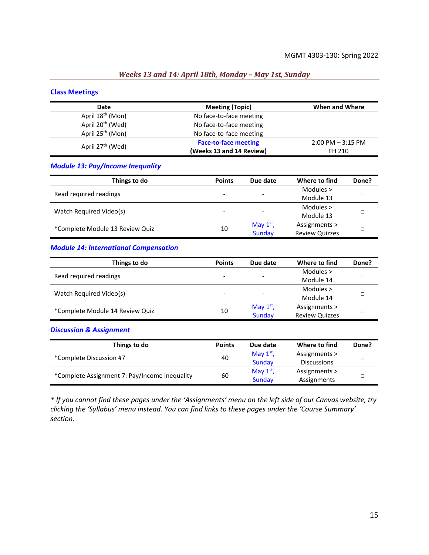#### *Weeks 13 and 14: April 18th, Monday – May 1st, Sunday*

#### **Class Meetings**

| Date                         | <b>Meeting (Topic)</b>      | When and Where       |
|------------------------------|-----------------------------|----------------------|
| April 18 <sup>th</sup> (Mon) | No face-to-face meeting     |                      |
| April 20 <sup>th</sup> (Wed) | No face-to-face meeting     |                      |
| April 25 <sup>th</sup> (Mon) | No face-to-face meeting     |                      |
| April 27 <sup>th</sup> (Wed) | <b>Face-to-face meeting</b> | $2:00$ PM $-3:15$ PM |
|                              | (Weeks 13 and 14 Review)    | FH 210               |

#### *Module 13: Pay/Income Inequality*

| Things to do                    | <b>Points</b>            | Due date                 | Where to find         | Done? |  |
|---------------------------------|--------------------------|--------------------------|-----------------------|-------|--|
|                                 |                          |                          | Modules $>$           |       |  |
| Read required readings          | $\overline{\phantom{a}}$ | $\overline{\phantom{a}}$ | Module 13             |       |  |
| Watch Required Video(s)         |                          |                          | Modules $>$           |       |  |
|                                 | $\overline{\phantom{a}}$ | -                        | Module 13             |       |  |
|                                 |                          | May $1st$ ,              | Assignments >         |       |  |
| *Complete Module 13 Review Quiz | 10                       | Sunday                   | <b>Review Quizzes</b> |       |  |

#### *Module 14: International Compensation*

| Things to do                    | <b>Points</b> | Due date                 | Where to find         | Done? |  |
|---------------------------------|---------------|--------------------------|-----------------------|-------|--|
| Read required readings          |               |                          | Modules $>$           |       |  |
|                                 |               | $\overline{\phantom{0}}$ | Module 14             |       |  |
|                                 |               |                          | Modules $>$           |       |  |
| Watch Required Video(s)         |               | $\overline{\phantom{0}}$ | Module 14             |       |  |
|                                 |               | May $1st$ ,              | Assignments >         |       |  |
| *Complete Module 14 Review Quiz | 10            | Sunday                   | <b>Review Quizzes</b> |       |  |

#### *Discussion & Assignment*

| Things to do            | <b>Points</b>                                                 | Due date    | Where to find      | Done? |  |
|-------------------------|---------------------------------------------------------------|-------------|--------------------|-------|--|
| *Complete Discussion #7 | 40                                                            | May $1st$ , | Assignments >      |       |  |
|                         |                                                               | Sunday      | <b>Discussions</b> |       |  |
|                         |                                                               | May $1st$ , | Assignments >      |       |  |
|                         | *Complete Assignment 7: Pay/Income inequality<br>60<br>Sundav |             | Assignments        |       |  |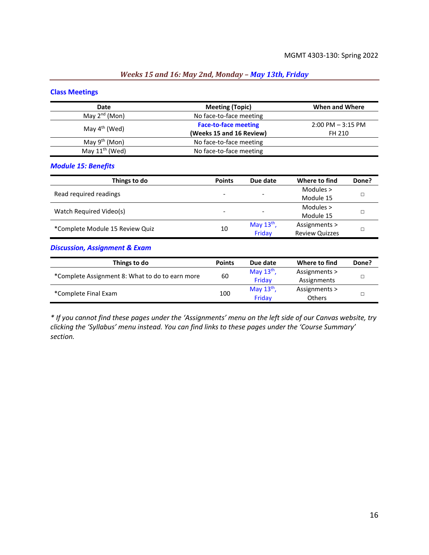## *Weeks 15 and 16: May 2nd, Monday – May 13th, Friday*

#### **Class Meetings**

| Date                | <b>Meeting (Topic)</b>      | When and Where       |
|---------------------|-----------------------------|----------------------|
| May $2^{nd}$ (Mon)  | No face-to-face meeting     |                      |
|                     | <b>Face-to-face meeting</b> | $2:00$ PM $-3:15$ PM |
| May $4^{th}$ (Wed)  | (Weeks 15 and 16 Review)    | FH 210               |
| May $9th$ (Mon)     | No face-to-face meeting     |                      |
| May $11^{th}$ (Wed) | No face-to-face meeting     |                      |

*Module 15: Benefits*

| Things to do                    | <b>Points</b> | Due date                 | Where to find         | Done? |  |
|---------------------------------|---------------|--------------------------|-----------------------|-------|--|
|                                 |               |                          | Modules $>$           |       |  |
| Read required readings          |               | -                        | Module 15             |       |  |
|                                 |               |                          | Modules $>$           |       |  |
| Watch Required Video(s)         |               | $\overline{\phantom{0}}$ | Module 15             |       |  |
|                                 |               | May $13th$ ,             | Assignments >         |       |  |
| *Complete Module 15 Review Quiz | 10            | Friday                   | <b>Review Quizzes</b> |       |  |

*Discussion, Assignment & Exam*

| Things to do                                    | <b>Points</b> | Due date     | Where to find | Done? |  |
|-------------------------------------------------|---------------|--------------|---------------|-------|--|
| *Complete Assignment 8: What to do to earn more |               | May $13th$ , | Assignments > |       |  |
|                                                 | 60            |              | Assignments   |       |  |
|                                                 |               | May $13th$ , | Assignments > |       |  |
| *Complete Final Exam                            | 100           | Fridav       | <b>Others</b> |       |  |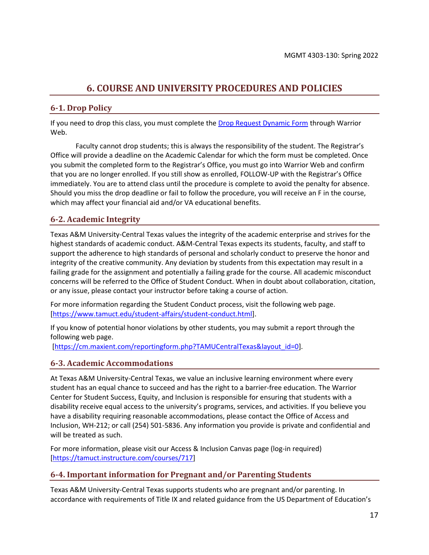## **6. COURSE AND UNIVERSITY PROCEDURES AND POLICIES**

## <span id="page-16-0"></span>**6-1. Drop Policy**

If you need to drop this class, you must complete th[e Drop Request Dynamic Form](https://dynamicforms.ngwebsolutions.com/casAuthentication.ashx?InstID=eaed95b9-f2be-45f3-a37d-46928168bc10&targetUrl=https%3A%2F%2Fdynamicforms.ngwebsolutions.com%2FSubmit%2FForm%2FStart%2F53b8369e-0502-4f36-be43-f02a4202f612) through Warrior Web.

Faculty cannot drop students; this is always the responsibility of the student. The Registrar's Office will provide a deadline on the Academic Calendar for which the form must be completed. Once you submit the completed form to the Registrar's Office, you must go into Warrior Web and confirm that you are no longer enrolled. If you still show as enrolled, FOLLOW-UP with the Registrar's Office immediately. You are to attend class until the procedure is complete to avoid the penalty for absence. Should you miss the drop deadline or fail to follow the procedure, you will receive an F in the course, which may affect your financial aid and/or VA educational benefits.

## **6-2. Academic Integrity**

Texas A&M University-Central Texas values the integrity of the academic enterprise and strives for the highest standards of academic conduct. A&M-Central Texas expects its students, faculty, and staff to support the adherence to high standards of personal and scholarly conduct to preserve the honor and integrity of the creative community. Any deviation by students from this expectation may result in a failing grade for the assignment and potentially a failing grade for the course. All academic misconduct concerns will be referred to the Office of Student Conduct. When in doubt about collaboration, citation, or any issue, please contact your instructor before taking a course of action.

For more information regarding the Student Conduct process, visit the following web page. [\[https://www.tamuct.edu/student-affairs/student-conduct.html\]](https://www.tamuct.edu/student-affairs/student-conduct.html).

If you know of potential honor violations by other students, you may submit a report through the following web page.

[\[https://cm.maxient.com/reportingform.php?TAMUCentralTexas&layout\\_id=0\]](https://cm.maxient.com/reportingform.php?TAMUCentralTexas&layout_id=0).

## **6-3. Academic Accommodations**

At Texas A&M University-Central Texas, we value an inclusive learning environment where every student has an equal chance to succeed and has the right to a barrier-free education. The Warrior Center for Student Success, Equity, and Inclusion is responsible for ensuring that students with a disability receive equal access to the university's programs, services, and activities. If you believe you have a disability requiring reasonable accommodations, please contact the Office of Access and Inclusion, WH-212; or call (254) 501-5836. Any information you provide is private and confidential and will be treated as such.

For more information, please visit our Access & Inclusion Canvas page (log-in required) [\[https://tamuct.instructure.com/courses/717\]](https://tamuct.instructure.com/courses/717)

## **6-4. Important information for Pregnant and/or Parenting Students**

Texas A&M University-Central Texas supports students who are pregnant and/or parenting. In accordance with requirements of Title IX and related guidance from the US Department of Education's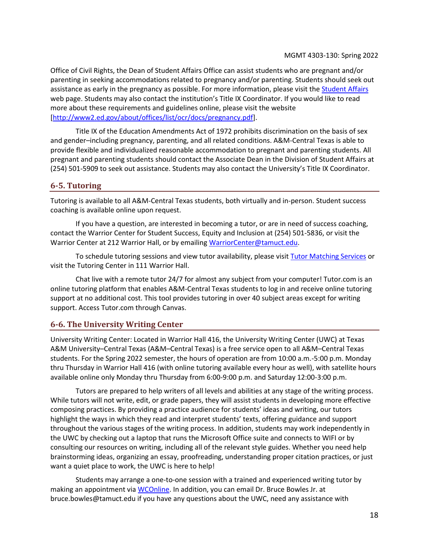Office of Civil Rights, the Dean of Student Affairs Office can assist students who are pregnant and/or parenting in seeking accommodations related to pregnancy and/or parenting. Students should seek out assistance as early in the pregnancy as possible. For more information, please visit the [Student Affairs](https://www.tamuct.edu/student-affairs/index.html) web page. Students may also contact the institution's Title IX Coordinator. If you would like to read more about these requirements and guidelines online, please visit the website [\[http://www2.ed.gov/about/offices/list/ocr/docs/pregnancy.pdf\]](http://www2.ed.gov/about/offices/list/ocr/docs/pregnancy.pdf).

Title IX of the Education Amendments Act of 1972 prohibits discrimination on the basis of sex and gender–including pregnancy, parenting, and all related conditions. A&M-Central Texas is able to provide flexible and individualized reasonable accommodation to pregnant and parenting students. All pregnant and parenting students should contact the Associate Dean in the Division of Student Affairs at (254) 501-5909 to seek out assistance. Students may also contact the University's Title IX Coordinator.

## **6-5. Tutoring**

Tutoring is available to all A&M-Central Texas students, both virtually and in-person. Student success coaching is available online upon request.

If you have a question, are interested in becoming a tutor, or are in need of success coaching, contact the Warrior Center for Student Success, Equity and Inclusion at (254) 501-5836, or visit the Warrior Center at 212 Warrior Hall, or by emailing [WarriorCenter@tamuct.edu.](mailto:WarriorCenter@tamuct.edu)

To schedule tutoring sessions and view tutor availability, please visi[t Tutor Matching Services](https://tutormatchingservice.com/TAMUCT) or visit the Tutoring Center in 111 Warrior Hall.

Chat live with a remote tutor 24/7 for almost any subject from your computer! Tutor.com is an online tutoring platform that enables A&M-Central Texas students to log in and receive online tutoring support at no additional cost. This tool provides tutoring in over 40 subject areas except for writing support. Access Tutor.com through Canvas.

## **6-6. The University Writing Center**

University Writing Center: Located in Warrior Hall 416, the University Writing Center (UWC) at Texas A&M University–Central Texas (A&M–Central Texas) is a free service open to all A&M–Central Texas students. For the Spring 2022 semester, the hours of operation are from 10:00 a.m.-5:00 p.m. Monday thru Thursday in Warrior Hall 416 (with online tutoring available every hour as well), with satellite hours available online only Monday thru Thursday from 6:00-9:00 p.m. and Saturday 12:00-3:00 p.m.

Tutors are prepared to help writers of all levels and abilities at any stage of the writing process. While tutors will not write, edit, or grade papers, they will assist students in developing more effective composing practices. By providing a practice audience for students' ideas and writing, our tutors highlight the ways in which they read and interpret students' texts, offering guidance and support throughout the various stages of the writing process. In addition, students may work independently in the UWC by checking out a laptop that runs the Microsoft Office suite and connects to WIFI or by consulting our resources on writing, including all of the relevant style guides. Whether you need help brainstorming ideas, organizing an essay, proofreading, understanding proper citation practices, or just want a quiet place to work, the UWC is here to help!

Students may arrange a one-to-one session with a trained and experienced writing tutor by making an appointment vi[a WCOnline.](https://tamuct.mywconline.com/) In addition, you can email Dr. Bruce Bowles Jr. at bruce.bowles@tamuct.edu if you have any questions about the UWC, need any assistance with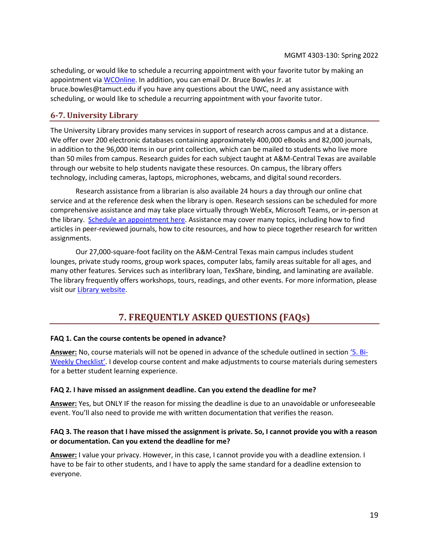scheduling, or would like to schedule a recurring appointment with your favorite tutor by making an appointment via [WCOnline.](https://tamuct.mywconline.com/) In addition, you can email Dr. Bruce Bowles Jr. at bruce.bowles@tamuct.edu if you have any questions about the UWC, need any assistance with scheduling, or would like to schedule a recurring appointment with your favorite tutor.

## **6-7. University Library**

The University Library provides many services in support of research across campus and at a distance. We offer over 200 electronic databases containing approximately 400,000 eBooks and 82,000 journals, in addition to the 96,000 items in our print collection, which can be mailed to students who live more than 50 miles from campus. Research guides for each subject taught at A&M-Central Texas are available through our website to help students navigate these resources. On campus, the library offers technology, including cameras, laptops, microphones, webcams, and digital sound recorders.

Research assistance from a librarian is also available 24 hours a day through our online chat service and at the reference desk when the library is open. Research sessions can be scheduled for more comprehensive assistance and may take place virtually through WebEx, Microsoft Teams, or in-person at the library. [Schedule an appointment here.](https://tamuct.libcal.com/appointments/?g=6956) Assistance may cover many topics, including how to find articles in peer-reviewed journals, how to cite resources, and how to piece together research for written assignments.

Our 27,000-square-foot facility on the A&M-Central Texas main campus includes student lounges, private study rooms, group work spaces, computer labs, family areas suitable for all ages, and many other features. Services such as interlibrary loan, TexShare, binding, and laminating are available. The library frequently offers workshops, tours, readings, and other events. For more information, please visit ou[r Library website.](http://tamuct.libguides.com/index)

## **7. FREQUENTLY ASKED QUESTIONS (FAQs)**

#### <span id="page-18-0"></span>**FAQ 1. Can the course contents be opened in advance?**

**Answer:** No, course materials will not be opened in advance of the schedule outlined in section '5[. Bi-](#page-7-0)[Weekly Checklist'](#page-7-0). I develop course content and make adjustments to course materials during semesters for a better student learning experience.

#### **FAQ 2. I have missed an assignment deadline. Can you extend the deadline for me?**

**Answer:** Yes, but ONLY IF the reason for missing the deadline is due to an unavoidable or unforeseeable event. You'll also need to provide me with written documentation that verifies the reason.

#### **FAQ 3. The reason that I have missed the assignment is private. So, I cannot provide you with a reason or documentation. Can you extend the deadline for me?**

**Answer:** I value your privacy. However, in this case, I cannot provide you with a deadline extension. I have to be fair to other students, and I have to apply the same standard for a deadline extension to everyone.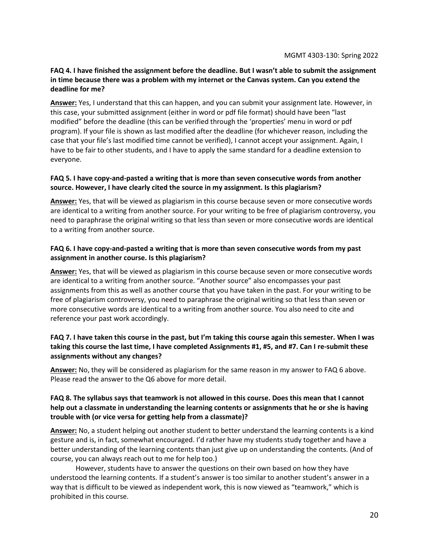#### **FAQ 4. I have finished the assignment before the deadline. But I wasn't able to submit the assignment in time because there was a problem with my internet or the Canvas system. Can you extend the deadline for me?**

**Answer:** Yes, I understand that this can happen, and you can submit your assignment late. However, in this case, your submitted assignment (either in word or pdf file format) should have been "last modified" before the deadline (this can be verified through the 'properties' menu in word or pdf program). If your file is shown as last modified after the deadline (for whichever reason, including the case that your file's last modified time cannot be verified), I cannot accept your assignment. Again, I have to be fair to other students, and I have to apply the same standard for a deadline extension to everyone.

#### **FAQ 5. I have copy-and-pasted a writing that is more than seven consecutive words from another source. However, I have clearly cited the source in my assignment. Is this plagiarism?**

**Answer:** Yes, that will be viewed as plagiarism in this course because seven or more consecutive words are identical to a writing from another source. For your writing to be free of plagiarism controversy, you need to paraphrase the original writing so that less than seven or more consecutive words are identical to a writing from another source.

#### **FAQ 6. I have copy-and-pasted a writing that is more than seven consecutive words from my past assignment in another course. Is this plagiarism?**

**Answer:** Yes, that will be viewed as plagiarism in this course because seven or more consecutive words are identical to a writing from another source. "Another source" also encompasses your past assignments from this as well as another course that you have taken in the past. For your writing to be free of plagiarism controversy, you need to paraphrase the original writing so that less than seven or more consecutive words are identical to a writing from another source. You also need to cite and reference your past work accordingly.

### **FAQ 7. I have taken this course in the past, but I'm taking this course again this semester. When I was taking this course the last time, I have completed Assignments #1, #5, and #7. Can I re-submit these assignments without any changes?**

**Answer:** No, they will be considered as plagiarism for the same reason in my answer to FAQ 6 above. Please read the answer to the Q6 above for more detail.

#### **FAQ 8. The syllabus says that teamwork is not allowed in this course. Does this mean that I cannot help out a classmate in understanding the learning contents or assignments that he or she is having trouble with (or vice versa for getting help from a classmate)?**

**Answer:** No, a student helping out another student to better understand the learning contents is a kind gesture and is, in fact, somewhat encouraged. I'd rather have my students study together and have a better understanding of the learning contents than just give up on understanding the contents. (And of course, you can always reach out to me for help too.)

However, students have to answer the questions on their own based on how they have understood the learning contents. If a student's answer is too similar to another student's answer in a way that is difficult to be viewed as independent work, this is now viewed as "teamwork," which is prohibited in this course.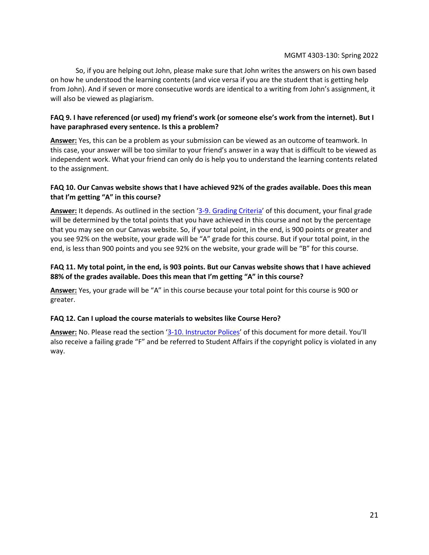So, if you are helping out John, please make sure that John writes the answers on his own based on how he understood the learning contents (and vice versa if you are the student that is getting help from John). And if seven or more consecutive words are identical to a writing from John's assignment, it will also be viewed as plagiarism.

## **FAQ 9. I have referenced (or used) my friend's work (or someone else's work from the internet). But I have paraphrased every sentence. Is this a problem?**

**Answer:** Yes, this can be a problem as your submission can be viewed as an outcome of teamwork. In this case, your answer will be too similar to your friend's answer in a way that is difficult to be viewed as independent work. What your friend can only do is help you to understand the learning contents related to the assignment.

### **FAQ 10. Our Canvas website shows that I have achieved 92% of the grades available. Does this mean that I'm getting "A" in this course?**

**Answer:** It depends. As outlined in the section '[3-9. Grading Criteria](#page-4-1)' of this document, your final grade will be determined by the total points that you have achieved in this course and not by the percentage that you may see on our Canvas website. So, if your total point, in the end, is 900 points or greater and you see 92% on the website, your grade will be "A" grade for this course. But if your total point, in the end, is less than 900 points and you see 92% on the website, your grade will be "B" for this course.

### **FAQ 11. My total point, in the end, is 903 points. But our Canvas website shows that I have achieved 88% of the grades available. Does this mean that I'm getting "A" in this course?**

**Answer:** Yes, your grade will be "A" in this course because your total point for this course is 900 or greater.

## **FAQ 12. Can I upload the course materials to websites like Course Hero?**

**Answer:** No. Please read the section '[3-10. Instructor Polices](#page-5-0)' of this document for more detail. You'll also receive a failing grade "F" and be referred to Student Affairs if the copyright policy is violated in any way.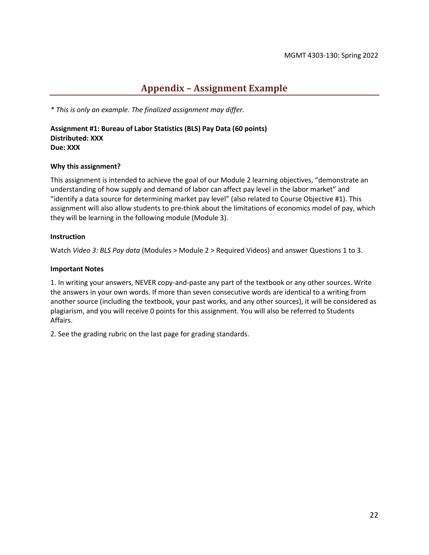## **Appendix – Assignment Example**

<span id="page-21-0"></span>*\* This is only an example. The finalized assignment may differ.*

**Assignment #1: Bureau of Labor Statistics (BLS) Pay Data (60 points) Distributed: XXX Due: XXX**

#### **Why this assignment?**

This assignment is intended to achieve the goal of our Module 2 learning objectives, "demonstrate an understanding of how supply and demand of labor can affect pay level in the labor market" and "identify a data source for determining market pay level" (also related to Course Objective #1). This assignment will also allow students to pre-think about the limitations of economics model of pay, which they will be learning in the following module (Module 3).

#### **Instruction**

Watch *Video 3: BLS Pay data* (Modules > Module 2 > Required Videos) and answer Questions 1 to 3.

#### **Important Notes**

1. In writing your answers, NEVER copy-and-paste any part of the textbook or any other sources. Write the answers in your own words. If more than seven consecutive words are identical to a writing from another source (including the textbook, your past works, and any other sources), it will be considered as plagiarism, and you will receive 0 points for this assignment. You will also be referred to Students Affairs.

2. See the grading rubric on the last page for grading standards.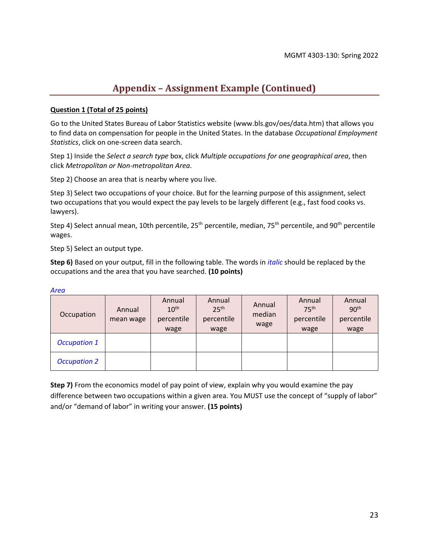## **Appendix – Assignment Example (Continued)**

#### **Question 1 (Total of 25 points)**

Go to the United States Bureau of Labor Statistics website (www.bls.gov/oes/data.htm) that allows you to find data on compensation for people in the United States. In the database *Occupational Employment Statistics*, click on one-screen data search.

Step 1) Inside the *Select a search type* box, click *Multiple occupations for one geographical area*, then click *Metropolitan or Non-metropolitan Area*.

Step 2) Choose an area that is nearby where you live.

Step 3) Select two occupations of your choice. But for the learning purpose of this assignment, select two occupations that you would expect the pay levels to be largely different (e.g., fast food cooks vs. lawyers).

Step 4) Select annual mean, 10th percentile, 25<sup>th</sup> percentile, median, 75<sup>th</sup> percentile, and 90<sup>th</sup> percentile wages.

Step 5) Select an output type.

**Step 6)** Based on your output, fill in the following table. The words in *italic* should be replaced by the occupations and the area that you have searched. **(10 points)**

| Occupation          | Annual<br>mean wage | Annual<br>10 <sup>th</sup><br>percentile<br>wage | Annual<br>25 <sup>th</sup><br>percentile<br>wage | Annual<br>median<br>wage | Annual<br>75 <sup>th</sup><br>percentile<br>wage | Annual<br>90 <sup>th</sup><br>percentile<br>wage |
|---------------------|---------------------|--------------------------------------------------|--------------------------------------------------|--------------------------|--------------------------------------------------|--------------------------------------------------|
| <b>Occupation 1</b> |                     |                                                  |                                                  |                          |                                                  |                                                  |
| <b>Occupation 2</b> |                     |                                                  |                                                  |                          |                                                  |                                                  |

*Area*

**Step 7)** From the economics model of pay point of view, explain why you would examine the pay difference between two occupations within a given area. You MUST use the concept of "supply of labor" and/or "demand of labor" in writing your answer. **(15 points)**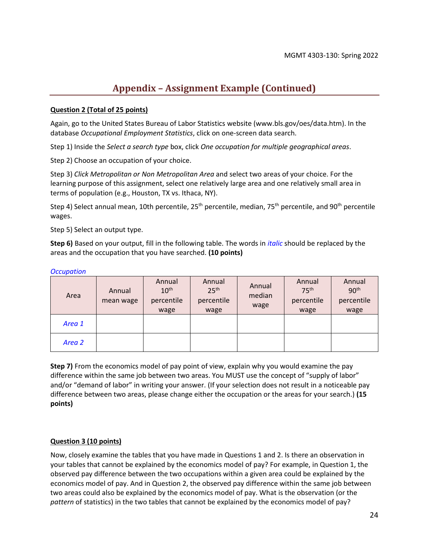## **Appendix – Assignment Example (Continued)**

#### **Question 2 (Total of 25 points)**

Again, go to the United States Bureau of Labor Statistics website (www.bls.gov/oes/data.htm). In the database *Occupational Employment Statistics*, click on one-screen data search.

Step 1) Inside the *Select a search type* box, click *One occupation for multiple geographical areas*.

Step 2) Choose an occupation of your choice.

Step 3) *Click Metropolitan or Non Metropolitan Area* and select two areas of your choice. For the learning purpose of this assignment, select one relatively large area and one relatively small area in terms of population (e.g., Houston, TX vs. Ithaca, NY).

Step 4) Select annual mean, 10th percentile, 25<sup>th</sup> percentile, median, 75<sup>th</sup> percentile, and 90<sup>th</sup> percentile wages.

Step 5) Select an output type.

**Step 6)** Based on your output, fill in the following table. The words in *italic* should be replaced by the areas and the occupation that you have searched. **(10 points)**

| Area   | Annual<br>mean wage | Annual<br>10 <sup>th</sup><br>percentile<br>wage | Annual<br>25 <sup>th</sup><br>percentile<br>wage | Annual<br>median<br>wage | Annual<br>75 <sup>th</sup><br>percentile<br>wage | Annual<br>90 <sup>th</sup><br>percentile<br>wage |
|--------|---------------------|--------------------------------------------------|--------------------------------------------------|--------------------------|--------------------------------------------------|--------------------------------------------------|
| Area 1 |                     |                                                  |                                                  |                          |                                                  |                                                  |
| Area 2 |                     |                                                  |                                                  |                          |                                                  |                                                  |

#### *Occupation*

**Step 7)** From the economics model of pay point of view, explain why you would examine the pay difference within the same job between two areas. You MUST use the concept of "supply of labor" and/or "demand of labor" in writing your answer. (If your selection does not result in a noticeable pay difference between two areas, please change either the occupation or the areas for your search.) **(15 points)**

#### **Question 3 (10 points)**

Now, closely examine the tables that you have made in Questions 1 and 2. Is there an observation in your tables that cannot be explained by the economics model of pay? For example, in Question 1, the observed pay difference between the two occupations within a given area could be explained by the economics model of pay. And in Question 2, the observed pay difference within the same job between two areas could also be explained by the economics model of pay. What is the observation (or the *pattern* of statistics) in the two tables that cannot be explained by the economics model of pay?